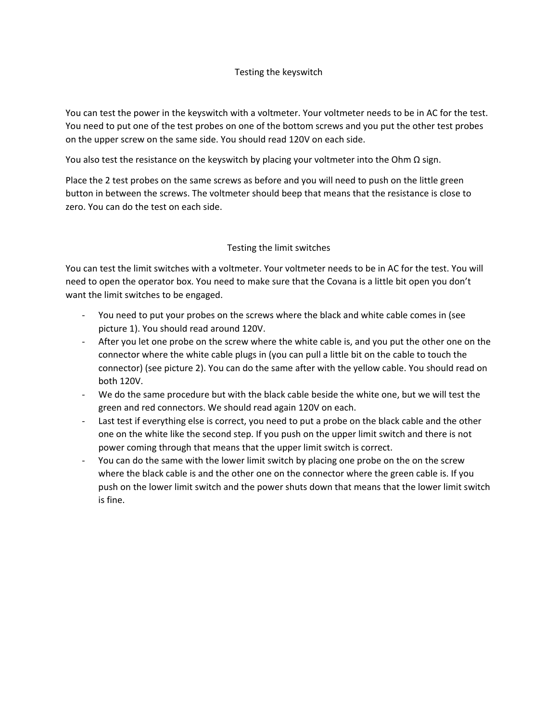## Testing the keyswitch

You can test the power in the keyswitch with a voltmeter. Your voltmeter needs to be in AC for the test. You need to put one of the test probes on one of the bottom screws and you put the other test probes on the upper screw on the same side. You should read 120V on each side.

You also test the resistance on the keyswitch by placing your voltmeter into the Ohm  $\Omega$  sign.

Place the 2 test probes on the same screws as before and you will need to push on the little green button in between the screws. The voltmeter should beep that means that the resistance is close to zero. You can do the test on each side.

## Testing the limit switches

You can test the limit switches with a voltmeter. Your voltmeter needs to be in AC for the test. You will need to open the operator box. You need to make sure that the Covana is a little bit open you don't want the limit switches to be engaged.

- You need to put your probes on the screws where the black and white cable comes in (see picture 1). You should read around 120V.
- After you let one probe on the screw where the white cable is, and you put the other one on the connector where the white cable plugs in (you can pull a little bit on the cable to touch the connector) (see picture 2). You can do the same after with the yellow cable. You should read on both 120V.
- We do the same procedure but with the black cable beside the white one, but we will test the green and red connectors. We should read again 120V on each.
- Last test if everything else is correct, you need to put a probe on the black cable and the other one on the white like the second step. If you push on the upper limit switch and there is not power coming through that means that the upper limit switch is correct.
- You can do the same with the lower limit switch by placing one probe on the on the screw where the black cable is and the other one on the connector where the green cable is. If you push on the lower limit switch and the power shuts down that means that the lower limit switch is fine.